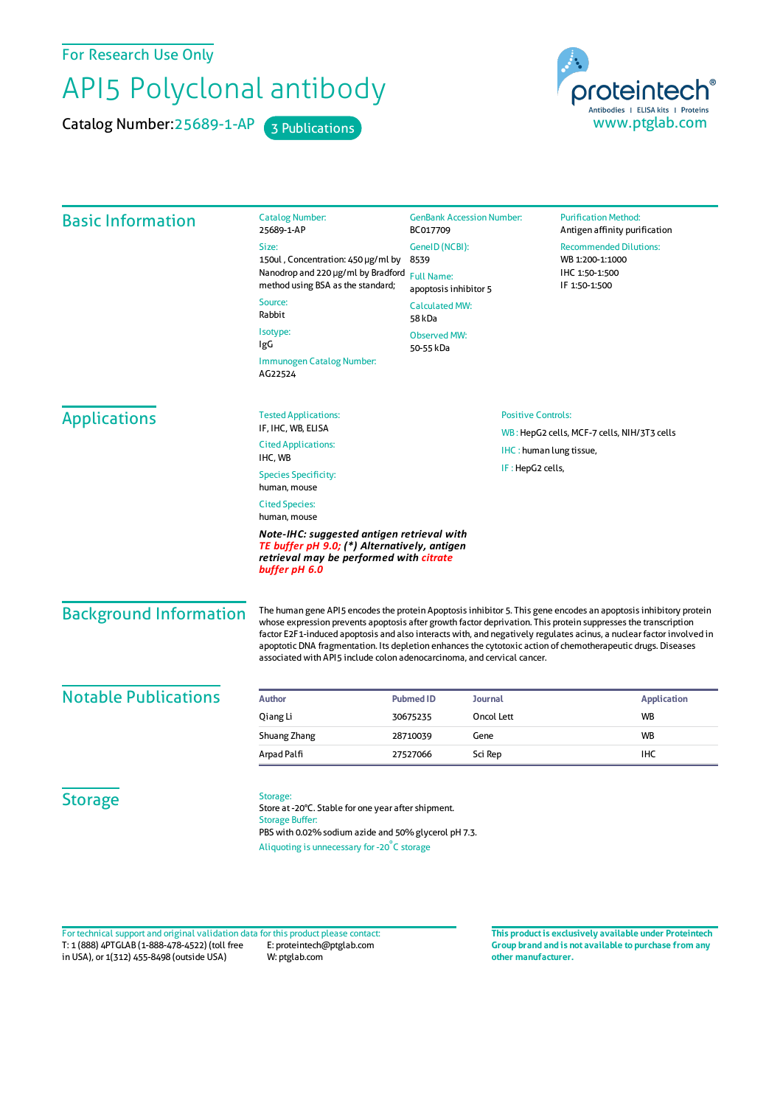For Research Use Only

## API5 Polyclonal antibody

Catalog Number: 25689-1-AP 3 Publications



| <b>Basic Information</b>      | <b>Catalog Number:</b><br>25689-1-AP                                                                                                                                                                                                                                                                                                                       | <b>GenBank Accession Number:</b><br>BC017709 |                           | <b>Purification Method:</b><br>Antigen affinity purification |  |
|-------------------------------|------------------------------------------------------------------------------------------------------------------------------------------------------------------------------------------------------------------------------------------------------------------------------------------------------------------------------------------------------------|----------------------------------------------|---------------------------|--------------------------------------------------------------|--|
|                               | Size:                                                                                                                                                                                                                                                                                                                                                      | GeneID (NCBI):                               |                           | <b>Recommended Dilutions:</b>                                |  |
|                               | 150ul, Concentration: 450 µg/ml by                                                                                                                                                                                                                                                                                                                         | 8539                                         |                           | WB 1:200-1:1000                                              |  |
|                               | Nanodrop and 220 µg/ml by Bradford<br>method using BSA as the standard;                                                                                                                                                                                                                                                                                    | <b>Full Name:</b><br>apoptosis inhibitor 5   |                           | IHC 1:50-1:500<br>IF 1:50-1:500                              |  |
|                               | Source:<br>Rabbit                                                                                                                                                                                                                                                                                                                                          | <b>Calculated MW:</b><br>58 kDa              |                           |                                                              |  |
|                               | Isotype:                                                                                                                                                                                                                                                                                                                                                   | <b>Observed MW:</b>                          |                           |                                                              |  |
|                               | IgG                                                                                                                                                                                                                                                                                                                                                        | 50-55 kDa                                    |                           |                                                              |  |
|                               | Immunogen Catalog Number:<br>AG22524                                                                                                                                                                                                                                                                                                                       |                                              |                           |                                                              |  |
| <b>Applications</b>           | <b>Tested Applications:</b>                                                                                                                                                                                                                                                                                                                                |                                              | <b>Positive Controls:</b> |                                                              |  |
|                               | IF, IHC, WB, ELISA                                                                                                                                                                                                                                                                                                                                         |                                              |                           | WB: HepG2 cells, MCF-7 cells, NIH/3T3 cells                  |  |
|                               | <b>Cited Applications:</b><br>IHC, WB                                                                                                                                                                                                                                                                                                                      | IHC: human lung tissue,                      |                           |                                                              |  |
|                               | <b>Species Specificity:</b><br>human, mouse                                                                                                                                                                                                                                                                                                                |                                              | IF: HepG2 cells,          |                                                              |  |
|                               | <b>Cited Species:</b><br>human, mouse                                                                                                                                                                                                                                                                                                                      |                                              |                           |                                                              |  |
|                               | Note-IHC: suggested antigen retrieval with<br>TE buffer pH 9.0; (*) Alternatively, antigen<br>retrieval may be performed with citrate<br>buffer pH 6.0                                                                                                                                                                                                     |                                              |                           |                                                              |  |
| <b>Background Information</b> | The human gene API5 encodes the protein Apoptosis inhibitor 5. This gene encodes an apoptosis inhibitory protein<br>whose expression prevents apoptosis after growth factor deprivation. This protein suppresses the transcription<br>factor E2F1-induced apoptosis and also interacts with, and negatively regulates acinus, a nuclear factor involved in |                                              |                           |                                                              |  |
|                               | apoptotic DNA fragmentation. Its depletion enhances the cytotoxic action of chemotherapeutic drugs. Diseases<br>associated with API5 include colon adenocarcinoma, and cervical cancer.                                                                                                                                                                    |                                              |                           |                                                              |  |
| <b>Notable Publications</b>   | <b>Author</b>                                                                                                                                                                                                                                                                                                                                              | <b>Pubmed ID</b>                             | <b>Journal</b>            | <b>Application</b>                                           |  |
|                               | Qiang Li                                                                                                                                                                                                                                                                                                                                                   | 30675235                                     | Oncol Lett                | <b>WB</b>                                                    |  |
|                               | Shuang Zhang                                                                                                                                                                                                                                                                                                                                               | Gene<br>28710039                             |                           | <b>WB</b>                                                    |  |
|                               | Arpad Palfi                                                                                                                                                                                                                                                                                                                                                | 27527066                                     | Sci Rep                   | <b>IHC</b>                                                   |  |
|                               |                                                                                                                                                                                                                                                                                                                                                            |                                              |                           |                                                              |  |
| <b>Storage</b>                | Storage:                                                                                                                                                                                                                                                                                                                                                   |                                              |                           |                                                              |  |
|                               | Store at -20°C. Stable for one year after shipment.<br><b>Storage Buffer:</b>                                                                                                                                                                                                                                                                              |                                              |                           |                                                              |  |
|                               | PBS with 0.02% sodium azide and 50% glycerol pH 7.3.                                                                                                                                                                                                                                                                                                       |                                              |                           |                                                              |  |
|                               |                                                                                                                                                                                                                                                                                                                                                            |                                              |                           |                                                              |  |

T: 1 (888) 4PTGLAB (1-888-478-4522) (toll free in USA), or 1(312) 455-8498 (outside USA) E: proteintech@ptglab.com W: ptglab.com Fortechnical support and original validation data forthis product please contact: **This productis exclusively available under Proteintech**

**Group brand and is not available to purchase from any other manufacturer.**